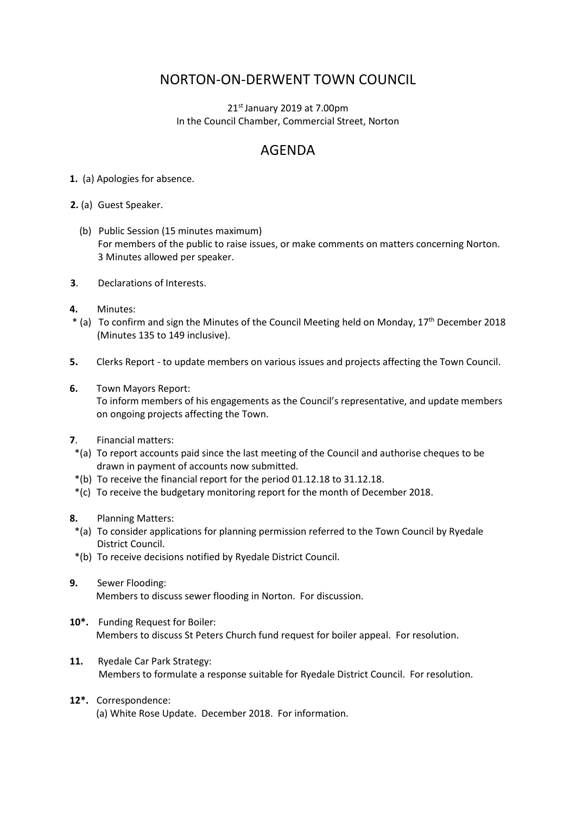## NORTON-ON-DERWENT TOWN COUNCIL

 $21<sup>st</sup>$  January 2019 at 7.00pm In the Council Chamber, Commercial Street, Norton

## AGENDA

**1.** (a) Apologies for absence.

**2.** (a) Guest Speaker.

- (b) Public Session (15 minutes maximum) For members of the public to raise issues, or make comments on matters concerning Norton. 3 Minutes allowed per speaker.
- **3**. Declarations of Interests.
- **4.** Minutes:
- \* (a) To confirm and sign the Minutes of the Council Meeting held on Monday, 17th December 2018 (Minutes 135 to 149 inclusive).
- **5.** Clerks Report to update members on various issues and projects affecting the Town Council.
- **6.** Town Mayors Report:

 To inform members of his engagements as the Council's representative, and update members on ongoing projects affecting the Town.

- **7**. Financial matters:
- \*(a) To report accounts paid since the last meeting of the Council and authorise cheques to be drawn in payment of accounts now submitted.
- \*(b) To receive the financial report for the period 01.12.18 to 31.12.18.
- \*(c) To receive the budgetary monitoring report for the month of December 2018.
- **8.** Planning Matters:
- \*(a) To consider applications for planning permission referred to the Town Council by Ryedale District Council.
- \*(b) To receive decisions notified by Ryedale District Council.
- **9.** Sewer Flooding: Members to discuss sewer flooding in Norton. For discussion.
- **10\*.** Funding Request for Boiler: Members to discuss St Peters Church fund request for boiler appeal. For resolution.
- **11.** Ryedale Car Park Strategy: Members to formulate a response suitable for Ryedale District Council. For resolution.
- **12\*.** Correspondence: (a) White Rose Update. December 2018. For information.